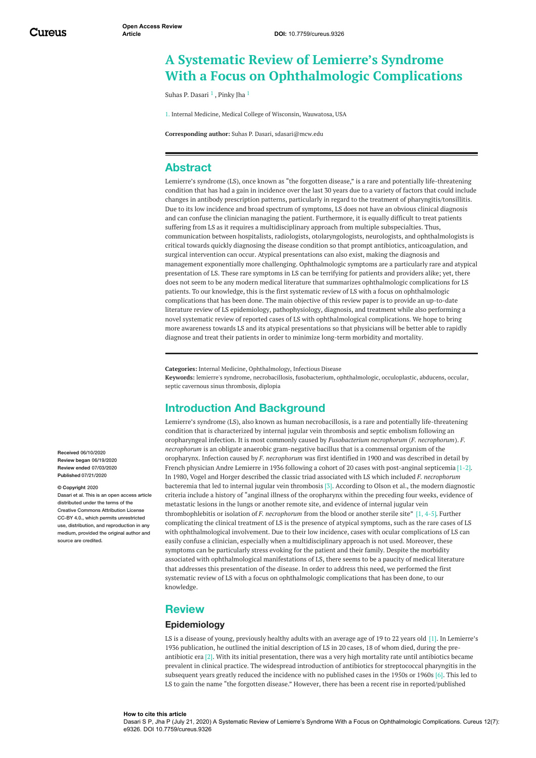# **A Systematic Review of Lemierre's Syndrome With a Focus on Ophthalmologic Complications**

Suhas P. [Dasari](https://www.cureus.com/users/169089-suhas-p-dasari) <sup>1</sup> , [Pinky](https://www.cureus.com/users/57248-pinky-jha) Jha <sup>1</sup>

1. Internal Medicine, Medical College of Wisconsin, Wauwatosa, USA

**Corresponding author:** Suhas P. Dasari, sdasari@mcw.edu

# **Abstract**

Lemierre's syndrome (LS), once known as "the forgotten disease," is a rare and potentially life-threatening condition that has had a gain in incidence over the last 30 years due to a variety of factors that could include changes in antibody prescription patterns, particularly in regard to the treatment of pharyngitis/tonsillitis. Due to its low incidence and broad spectrum of symptoms, LS does not have an obvious clinical diagnosis and can confuse the clinician managing the patient. Furthermore, it is equally difficult to treat patients suffering from LS as it requires a multidisciplinary approach from multiple subspecialties. Thus, communication between hospitalists, radiologists, otolaryngologists, neurologists, and ophthalmologists is critical towards quickly diagnosing the disease condition so that prompt antibiotics, anticoagulation, and surgical intervention can occur. Atypical presentations can also exist, making the diagnosis and management exponentially more challenging. Ophthalmologic symptoms are a particularly rare and atypical presentation of LS. These rare symptoms in LS can be terrifying for patients and providers alike; yet, there does not seem to be any modern medical literature that summarizes ophthalmologic complications for LS patients. To our knowledge, this is the first systematic review of LS with a focus on ophthalmologic complications that has been done. The main objective of this review paper is to provide an up-to-date literature review of LS epidemiology, pathophysiology, diagnosis, and treatment while also performing a novel systematic review of reported cases of LS with ophthalmological complications. We hope to bring more awareness towards LS and its atypical presentations so that physicians will be better able to rapidly diagnose and treat their patients in order to minimize long-term morbidity and mortality.

**Categories:** Internal Medicine, Ophthalmology, Infectious Disease **Keywords:** lemierre's syndrome, necrobacillosis, fusobacterium, ophthalmologic, occuloplastic, abducens, occular, septic cavernous sinus thrombosis, diplopia

# **Introduction And Background**

Lemierre's syndrome (LS), also known as human necrobacillosis, is a rare and potentially life-threatening condition that is characterized by internal jugular vein thrombosis and septic embolism following an oropharyngeal infection. It is most commonly caused by *Fusobacterium necrophorum* (*F. necrophorum*). *F. necrophorum* is an obligate anaerobic gram-negative bacillus that is a commensal organism of the oropharynx. Infection caused by *F. necrophorum* was first identified in 1900 and was described in detail by French physician Andre Lemierre in 1936 following a cohort of 20 cases with post-anginal septicemia [1-2]. In 1980, Vogel and Horger described the classic triad associated with LS which included *F. necrophorum* bacteremia that led to internal jugular vein thrombosis [3]. According to Olson et al., the modern diagnostic criteria include a history of "anginal illness of the oropharynx within the preceding four weeks, evidence of metastatic lesions in the lungs or another remote site, and evidence of internal jugular vein thrombophlebitis or isolation of *F. necrophorum* from the blood or another sterile site" [1, 4-5]. Further complicating the clinical treatment of LS is the presence of atypical symptoms, such as the rare cases of LS with ophthalmological involvement. Due to their low incidence, cases with ocular complications of LS can easily confuse a clinician, especially when a multidisciplinary approach is not used. Moreover, these symptoms can be particularly stress evoking for the patient and their family. Despite the morbidity associated with ophthalmological manifestations of LS, there seems to be a paucity of medical literature that addresses this presentation of the disease. In order to address this need, we performed the first systematic review of LS with a focus on ophthalmologic complications that has been done, to our knowledge.

### **Review**

### **Epidemiology**

LS is a disease of young, previously healthy adults with an average age of 19 to 22 years old [1]. In Lemierre's 1936 publication, he outlined the initial description of LS in 20 cases, 18 of whom died, during the preantibiotic era [2]. With its initial presentation, there was a very high mortality rate until antibiotics became prevalent in clinical practice. The widespread introduction of antibiotics for streptococcal pharyngitis in the subsequent years greatly reduced the incidence with no published cases in the 1950s or 1960s [6]. This led to LS to gain the name "the forgotten disease." However, there has been a recent rise in reported/published

**Received** 06/10/2020 **Review began** 06/19/2020 **Review ended** 07/03/2020 **Published** 07/21/2020

#### **© Copyright** 2020

Dasari et al. This is an open access article distributed under the terms of the Creative Commons Attribution License CC-BY 4.0., which permits unrestricted use, distribution, and reproduction in any medium, provided the original author and source are credited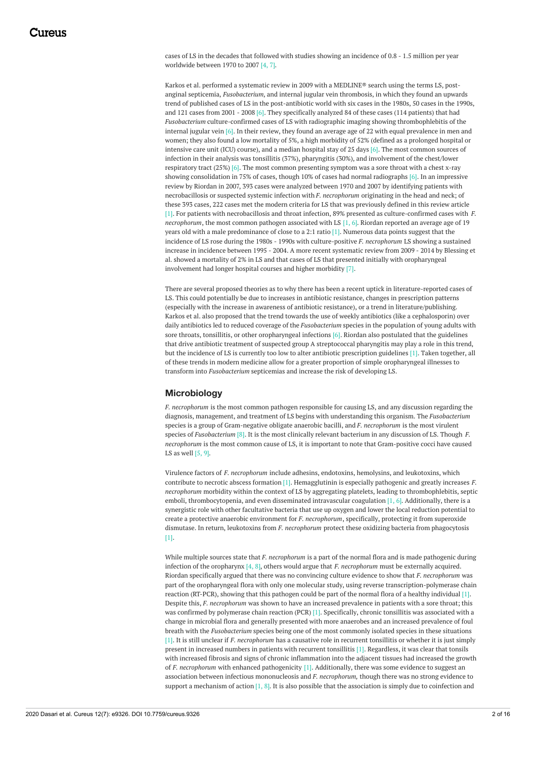cases of LS in the decades that followed with studies showing an incidence of 0.8 - 1.5 million per year worldwide between 1970 to 2007 [4, 7].

Karkos et al. performed a systematic review in 2009 with a MEDLINE® search using the terms LS, postanginal septicemia, *Fusobacterium*, and internal jugular vein thrombosis, in which they found an upwards trend of published cases of LS in the post-antibiotic world with six cases in the 1980s, 50 cases in the 1990s, and 121 cases from 2001 - 2008 [6]. They specifically analyzed 84 of these cases (114 patients) that had *Fusobacterium* culture-confirmed cases of LS with radiographic imaging showing thrombophlebitis of the internal jugular vein [6]. In their review, they found an average age of 22 with equal prevalence in men and women; they also found a low mortality of 5%, a high morbidity of 52% (defined as a prolonged hospital or intensive care unit (ICU) course), and a median hospital stay of 25 days [6]. The most common sources of infection in their analysis was tonsillitis (37%), pharyngitis (30%), and involvement of the chest/lower respiratory tract (25%) [6]. The most common presenting symptom was a sore throat with a chest x-ray showing consolidation in 75% of cases, though 10% of cases had normal radiographs [6]. In an impressive review by Riordan in 2007, 393 cases were analyzed between 1970 and 2007 by identifying patients with necrobacillosis or suspected systemic infection with *F. necrophorum* originating in the head and neck; of these 393 cases, 222 cases met the modern criteria for LS that was previously defined in this review article [1]. For patients with necrobacillosis and throat infection, 89% presented as culture-confirmed cases with *F. necrophorum*, the most common pathogen associated with LS [1, 6]. Riordan reported an average age of 19 years old with a male predominance of close to a 2:1 ratio [1]. Numerous data points suggest that the incidence of LS rose during the 1980s - 1990s with culture-positive *F. necrophorum* LS showing a sustained increase in incidence between 1995 - 2004. A more recent systematic review from 2009 - 2014 by Blessing et al. showed a mortality of 2% in LS and that cases of LS that presented initially with oropharyngeal involvement had longer hospital courses and higher morbidity [7].

There are several proposed theories as to why there has been a recent uptick in literature-reported cases of LS. This could potentially be due to increases in antibiotic resistance, changes in prescription patterns (especially with the increase in awareness of antibiotic resistance), or a trend in literature/publishing. Karkos et al. also proposed that the trend towards the use of weekly antibiotics (like a cephalosporin) over daily antibiotics led to reduced coverage of the *Fusobacterium* species in the population of young adults with sore throats, tonsillitis, or other oropharyngeal infections [6]. Riordan also postulated that the guidelines that drive antibiotic treatment of suspected group A streptococcal pharyngitis may play a role in this trend, but the incidence of LS is currently too low to alter antibiotic prescription guidelines [1]. Taken together, all of these trends in modern medicine allow for a greater proportion of simple oropharyngeal illnesses to transform into *Fusobacterium* septicemias and increase the risk of developing LS.

#### **Microbiology**

*F. necrophorum* is the most common pathogen responsible for causing LS, and any discussion regarding the diagnosis, management, and treatment of LS begins with understanding this organism. The *Fusobacterium* species is a group of Gram-negative obligate anaerobic bacilli, and *F. necrophorum* is the most virulent species of *Fusobacterium* [8]. It is the most clinically relevant bacterium in any discussion of LS. Though *F. necrophorum* is the most common cause of LS, it is important to note that Gram-positive cocci have caused LS as well [5, 9].

Virulence factors of *F. necrophorum* include adhesins, endotoxins, hemolysins, and leukotoxins, which contribute to necrotic abscess formation [1]. Hemagglutinin is especially pathogenic and greatly increases *F. necrophorum* morbidity within the context of LS by aggregating platelets, leading to thrombophlebitis, septic emboli, thrombocytopenia, and even disseminated intravascular coagulation [1, 6]. Additionally, there is a synergistic role with other facultative bacteria that use up oxygen and lower the local reduction potential to create a protective anaerobic environment for *F. necrophorum*, specifically, protecting it from superoxide dismutase. In return, leukotoxins from *F. necrophorum* protect these oxidizing bacteria from phagocytosis [1].

While multiple sources state that *F. necrophorum* is a part of the normal flora and is made pathogenic during infection of the oropharynx [4, 8], others would argue that *F. necrophorum* must be externally acquired. Riordan specifically argued that there was no convincing culture evidence to show that *F. necrophorum* was part of the oropharyngeal flora with only one molecular study, using reverse transcription-polymerase chain reaction (RT-PCR), showing that this pathogen could be part of the normal flora of a healthy individual [1]. Despite this, *F. necrophorum* was shown to have an increased prevalence in patients with a sore throat; this was confirmed by polymerase chain reaction (PCR) [1]. Specifically, chronic tonsillitis was associated with a change in microbial flora and generally presented with more anaerobes and an increased prevalence of foul breath with the *Fusobacterium* species being one of the most commonly isolated species in these situations [1]. It is still unclear if *F. necrophorum* has a causative role in recurrent tonsillitis or whether it is just simply present in increased numbers in patients with recurrent tonsillitis [1]. Regardless, it was clear that tonsils with increased fibrosis and signs of chronic inflammation into the adjacent tissues had increased the growth of *F. necrophorum* with enhanced pathogenicity [1]. Additionally, there was some evidence to suggest an association between infectious mononucleosis and *F. necrophorum,* though there was no strong evidence to support a mechanism of action  $[1, 8]$ . It is also possible that the association is simply due to coinfection and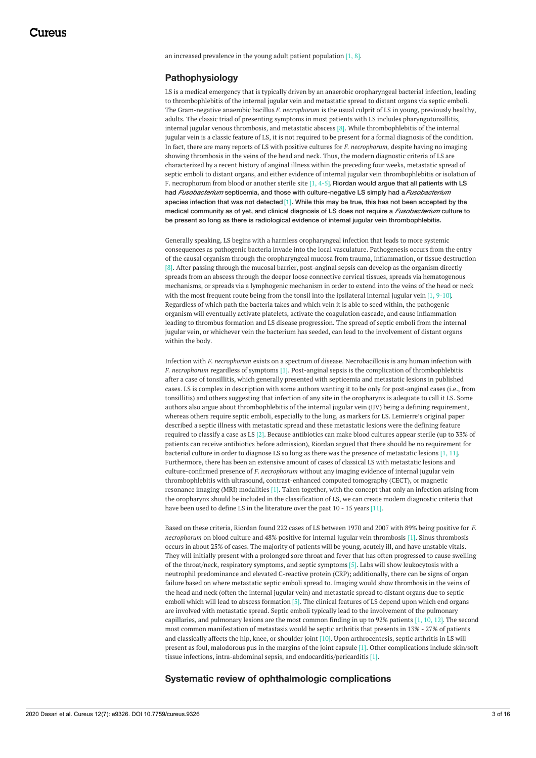an increased prevalence in the young adult patient population [1, 8].

#### **Pathophysiology**

LS is a medical emergency that is typically driven by an anaerobic oropharyngeal bacterial infection, leading to thrombophlebitis of the internal jugular vein and metastatic spread to distant organs via septic emboli. The Gram-negative anaerobic bacillus *F. necrophorum* is the usual culprit of LS in young, previously healthy, adults. The classic triad of presenting symptoms in most patients with LS includes pharyngotonsillitis, internal jugular venous thrombosis, and metastatic abscess [8]. While thrombophlebitis of the internal jugular vein is a classic feature of LS, it is not required to be present for a formal diagnosis of the condition. In fact, there are many reports of LS with positive cultures for *F. necrophorum,* despite having no imaging showing thrombosis in the veins of the head and neck. Thus, the modern diagnostic criteria of LS are characterized by a recent history of anginal illness within the preceding four weeks, metastatic spread of septic emboli to distant organs, and either evidence of internal jugular vein thrombophlebitis or isolation of F. necrophorum from blood or another sterile site  $[1, 4-5]$ . Riordan would argue that all patients with LS had *Fusobacterium* septicemia, and those with culture-negative LS simply had a*Fusobacterium* species infection that was not detected [1]. While this may be true, this has not been accepted by the medical community as of yet, and clinical diagnosis of LS does not require a *Fusobacterium* culture to be present so long as there is radiological evidence of internal jugular vein thrombophlebitis.

Generally speaking, LS begins with a harmless oropharyngeal infection that leads to more systemic consequences as pathogenic bacteria invade into the local vasculature. Pathogenesis occurs from the entry of the causal organism through the oropharyngeal mucosa from trauma, inflammation, or tissue destruction [8]. After passing through the mucosal barrier, post-anginal sepsis can develop as the organism directly spreads from an abscess through the deeper loose connective cervical tissues, spreads via hematogenous mechanisms, or spreads via a lymphogenic mechanism in order to extend into the veins of the head or neck with the most frequent route being from the tonsil into the ipsilateral internal jugular vein [1, 9-10]. Regardless of which path the bacteria takes and which vein it is able to seed within, the pathogenic organism will eventually activate platelets, activate the coagulation cascade, and cause inflammation leading to thrombus formation and LS disease progression. The spread of septic emboli from the internal jugular vein, or whichever vein the bacterium has seeded, can lead to the involvement of distant organs within the body.

Infection with *F. necrophorum* exists on a spectrum of disease. Necrobacillosis is any human infection with *F. necrophorum* regardless of symptoms [1]. Post-anginal sepsis is the complication of thrombophlebitis after a case of tonsillitis, which generally presented with septicemia and metastatic lesions in published cases. LS is complex in description with some authors wanting it to be only for post-anginal cases (i.e., from tonsillitis) and others suggesting that infection of any site in the oropharynx is adequate to call it LS. Some authors also argue about thrombophlebitis of the internal jugular vein (IJV) being a defining requirement, whereas others require septic emboli, especially to the lung, as markers for LS. Lemierre's original paper described a septic illness with metastatic spread and these metastatic lesions were the defining feature required to classify a case as LS [2]. Because antibiotics can make blood cultures appear sterile (up to 33% of patients can receive antibiotics before admission), Riordan argued that there should be no requirement for bacterial culture in order to diagnose LS so long as there was the presence of metastatic lesions [1, 11]. Furthermore, there has been an extensive amount of cases of classical LS with metastatic lesions and culture-confirmed presence of *F. necrophorum* without any imaging evidence of internal jugular vein thrombophlebitis with ultrasound, contrast-enhanced computed tomography (CECT), or magnetic resonance imaging (MRI) modalities [1]. Taken together, with the concept that only an infection arising from the oropharynx should be included in the classification of LS, we can create modern diagnostic criteria that have been used to define LS in the literature over the past 10 - 15 years [11].

Based on these criteria, Riordan found 222 cases of LS between 1970 and 2007 with 89% being positive for *F. necrophorum* on blood culture and 48% positive for internal jugular vein thrombosis [1]. Sinus thrombosis occurs in about 25% of cases. The majority of patients will be young, acutely ill, and have unstable vitals. They will initially present with a prolonged sore throat and fever that has often progressed to cause swelling of the throat/neck, respiratory symptoms, and septic symptoms [5]. Labs will show leukocytosis with a neutrophil predominance and elevated C-reactive protein (CRP); additionally, there can be signs of organ failure based on where metastatic septic emboli spread to. Imaging would show thrombosis in the veins of the head and neck (often the internal jugular vein) and metastatic spread to distant organs due to septic emboli which will lead to abscess formation [5]. The clinical features of LS depend upon which end organs are involved with metastatic spread. Septic emboli typically lead to the involvement of the pulmonary capillaries, and pulmonary lesions are the most common finding in up to 92% patients [1, 10, 12]. The second most common manifestation of metastasis would be septic arthritis that presents in 13% - 27% of patients and classically affects the hip, knee, or shoulder joint [10]. Upon arthrocentesis, septic arthritis in LS will present as foul, malodorous pus in the margins of the joint capsule [1]. Other complications include skin/soft tissue infections, intra-abdominal sepsis, and endocarditis/pericarditis [1].

**Systematic review of ophthalmologic complications**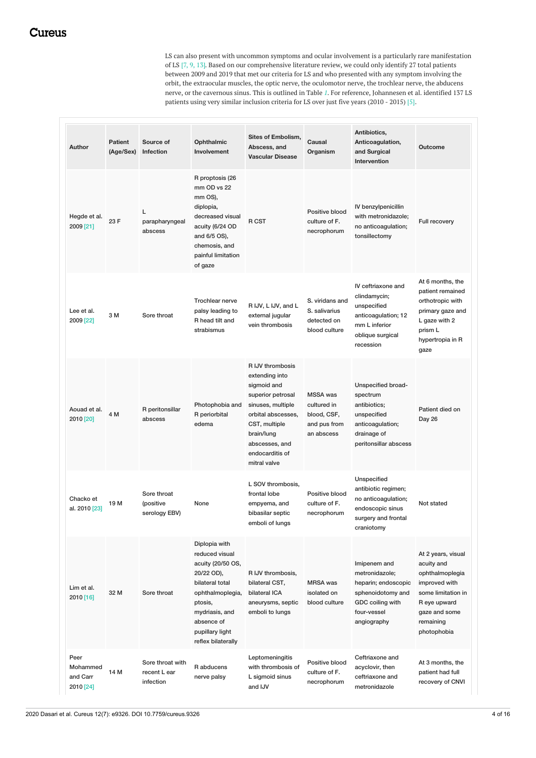LS can also present with uncommon symptoms and ocular involvement is a particularly rare manifestation of LS [7, 9, 13]. Based on our comprehensive literature review, we could only identify 27 total patients between 2009 and 2019 that met our criteria for LS and who presented with any symptom involving the orbit, the extraocular muscles, the optic nerve, the oculomotor nerve, the trochlear nerve, the abducens nerve, or the cavernous sinus. This is outlined in Table *[1](#page-5-0)*. For reference, Johannesen et al. identified 137 LS patients using very similar inclusion criteria for LS over just five years (2010 - 2015) [5].

| <b>Author</b>                             | <b>Patient</b><br>(Age/Sex) | Source of<br>Infection                        | Ophthalmic<br>Involvement                                                                                                                                                                     | Sites of Embolism,<br>Abscess, and<br><b>Vascular Disease</b>                                                                                                                                         | Causal<br>Organism                                                          | Antibiotics,<br>Anticoagulation,<br>and Surgical<br>Intervention                                                             | <b>Outcome</b>                                                                                                                                          |
|-------------------------------------------|-----------------------------|-----------------------------------------------|-----------------------------------------------------------------------------------------------------------------------------------------------------------------------------------------------|-------------------------------------------------------------------------------------------------------------------------------------------------------------------------------------------------------|-----------------------------------------------------------------------------|------------------------------------------------------------------------------------------------------------------------------|---------------------------------------------------------------------------------------------------------------------------------------------------------|
| Hegde et al.<br>2009 [21]                 | 23 F                        | Г<br>parapharyngeal<br>abscess                | R proptosis (26<br>mm OD vs 22<br>mm OS),<br>diplopia,<br>decreased visual<br>acuity (6/24 OD<br>and 6/5 OS),<br>chemosis, and<br>painful limitation<br>of gaze                               | R CST                                                                                                                                                                                                 | Positive blood<br>culture of F.<br>necrophorum                              | IV benzylpenicillin<br>with metronidazole;<br>no anticoagulation;<br>tonsillectomy                                           | Full recovery                                                                                                                                           |
| Lee et al.<br>2009 [22]                   | 3 M                         | Sore throat                                   | Trochlear nerve<br>palsy leading to<br>R head tilt and<br>strabismus                                                                                                                          | R IJV, L IJV, and L<br>external jugular<br>vein thrombosis                                                                                                                                            | S. viridans and<br>S. salivarius<br>detected on<br>blood culture            | IV ceftriaxone and<br>clindamycin;<br>unspecified<br>anticoagulation; 12<br>mm L inferior<br>oblique surgical<br>recession   | At 6 months, the<br>patient remained<br>orthotropic with<br>primary gaze and<br>L gaze with 2<br>prism L<br>hypertropia in R<br>gaze                    |
| Aouad et al.<br>2010 [20]                 | 4 M                         | R peritonsillar<br>abscess                    | Photophobia and<br>R periorbital<br>edema                                                                                                                                                     | R IJV thrombosis<br>extending into<br>sigmoid and<br>superior petrosal<br>sinuses, multiple<br>orbital abscesses,<br>CST, multiple<br>brain/lung<br>abscesses, and<br>endocarditis of<br>mitral valve | <b>MSSA</b> was<br>cultured in<br>blood, CSF,<br>and pus from<br>an abscess | Unspecified broad-<br>spectrum<br>antibiotics;<br>unspecified<br>anticoagulation;<br>drainage of<br>peritonsillar abscess    | Patient died on<br>Day 26                                                                                                                               |
| Chacko et<br>al. 2010 [23]                | 19 M                        | Sore throat<br>(positive<br>serology EBV)     | None                                                                                                                                                                                          | L SOV thrombosis,<br>frontal lobe<br>empyema, and<br>bibasilar septic<br>emboli of lungs                                                                                                              | Positive blood<br>culture of F.<br>necrophorum                              | Unspecified<br>antibiotic regimen;<br>no anticoagulation;<br>endoscopic sinus<br>surgery and frontal<br>craniotomy           | Not stated                                                                                                                                              |
| Lim et al.<br>2010 [16]                   | 32 M                        | Sore throat                                   | Diplopia with<br>reduced visual<br>acuity (20/50 OS,<br>20/22 OD),<br>bilateral total<br>ophthalmoplegia,<br>ptosis,<br>mydriasis, and<br>absence of<br>pupillary light<br>reflex bilaterally | R IJV thrombosis,<br>bilateral CST,<br>bilateral ICA<br>aneurysms, septic<br>emboli to lungs                                                                                                          | <b>MRSA</b> was<br>isolated on<br>blood culture                             | Imipenem and<br>metronidazole;<br>heparin; endoscopic<br>sphenoidotomy and<br>GDC coiling with<br>four-vessel<br>angiography | At 2 years, visual<br>acuity and<br>ophthalmoplegia<br>improved with<br>some limitation in<br>R eye upward<br>gaze and some<br>remaining<br>photophobia |
| Peer<br>Mohammed<br>and Carr<br>2010 [24] | 14 M                        | Sore throat with<br>recent L ear<br>infection | R abducens<br>nerve palsy                                                                                                                                                                     | Leptomeningitis<br>with thrombosis of<br>L sigmoid sinus<br>and IJV                                                                                                                                   | Positive blood<br>culture of F.<br>necrophorum                              | Ceftriaxone and<br>acyclovir, then<br>ceftriaxone and<br>metronidazole                                                       | At 3 months, the<br>patient had full<br>recovery of CNVI                                                                                                |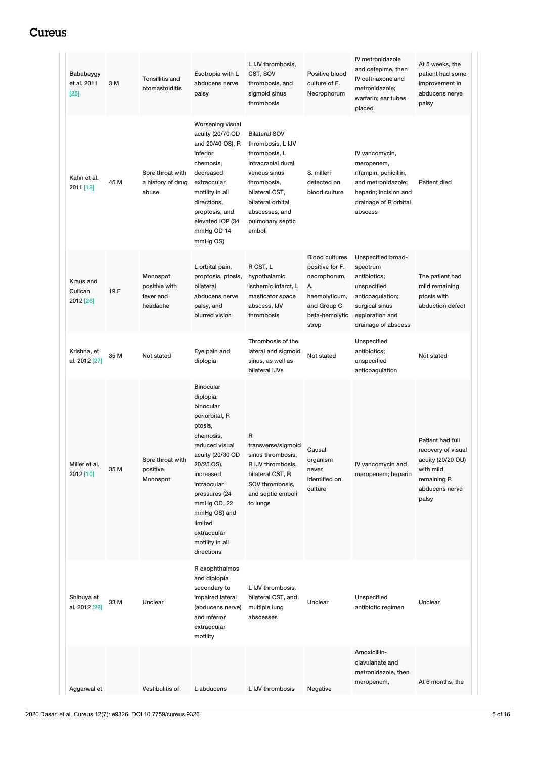| Bababeygy<br>et al. 2011<br>$[25]$ | 3 M  | <b>Tonsillitis and</b><br>otomastoiditis           | Esotropia with L<br>abducens nerve<br>palsy                                                                                                                                                                                                                                     | L IJV thrombosis,<br>CST, SOV<br>thrombosis, and<br>sigmoid sinus<br>thrombosis                                                                                                                        | Positive blood<br>culture of F.<br>Necrophorum                                                                            | IV metronidazole<br>and cefepime, then<br>IV ceftriaxone and<br>metronidazole;<br>warfarin; ear tubes<br>placed                               | At 5 weeks, the<br>patient had some<br>improvement in<br>abducens nerve<br>palsy                                   |
|------------------------------------|------|----------------------------------------------------|---------------------------------------------------------------------------------------------------------------------------------------------------------------------------------------------------------------------------------------------------------------------------------|--------------------------------------------------------------------------------------------------------------------------------------------------------------------------------------------------------|---------------------------------------------------------------------------------------------------------------------------|-----------------------------------------------------------------------------------------------------------------------------------------------|--------------------------------------------------------------------------------------------------------------------|
| Kahn et al.<br>2011 [19]           | 45 M | Sore throat with<br>a history of drug<br>abuse     | Worsening visual<br>acuity (20/70 OD<br>and 20/40 OS), R<br>inferior<br>chemosis,<br>decreased<br>extraocular<br>motility in all<br>directions,<br>proptosis, and<br>elevated IOP (34<br>mmHg OD 14<br>mmHg OS)                                                                 | <b>Bilateral SOV</b><br>thrombosis, L IJV<br>thrombosis, L<br>intracranial dural<br>venous sinus<br>thrombosis,<br>bilateral CST,<br>bilateral orbital<br>abscesses, and<br>pulmonary septic<br>emboli | S. milleri<br>detected on<br>blood culture                                                                                | IV vancomycin,<br>meropenem,<br>rifampin, penicillin,<br>and metronidazole;<br>heparin; incision and<br>drainage of R orbital<br>abscess      | <b>Patient died</b>                                                                                                |
| Kraus and<br>Culican<br>2012 [26]  | 19F  | Monospot<br>positive with<br>fever and<br>headache | L orbital pain,<br>proptosis, ptosis,<br>bilateral<br>abducens nerve<br>palsy, and<br>blurred vision                                                                                                                                                                            | R CST, L<br>hypothalamic<br>ischemic infarct, L<br>masticator space<br>abscess, IJV<br>thrombosis                                                                                                      | <b>Blood cultures</b><br>positive for F.<br>necrophorum,<br>А.<br>haemolyticum,<br>and Group C<br>beta-hemolytic<br>strep | Unspecified broad-<br>spectrum<br>antibiotics;<br>unspecified<br>anticoagulation;<br>surgical sinus<br>exploration and<br>drainage of abscess | The patient had<br>mild remaining<br>ptosis with<br>abduction defect                                               |
| Krishna, et<br>al. 2012 [27]       | 35 M | Not stated                                         | Eye pain and<br>diplopia                                                                                                                                                                                                                                                        | Thrombosis of the<br>lateral and sigmoid<br>sinus, as well as<br>bilateral IJVs                                                                                                                        | Not stated                                                                                                                | Unspecified<br>antibiotics;<br>unspecified<br>anticoagulation                                                                                 | Not stated                                                                                                         |
| Miller et al.<br>2012 [10]         | 35 M | Sore throat with<br>positive<br>Monospot           | <b>Binocular</b><br>diplopia,<br>binocular<br>periorbital, R<br>ptosis,<br>chemosis,<br>reduced visual<br>acuity (20/30 OD<br>20/25 OS),<br>increased<br>intraocular<br>pressures (24<br>mmHg OD, 22<br>mmHg OS) and<br>limited<br>extraocular<br>motility in all<br>directions | R<br>transverse/sigmoid<br>sinus thrombosis,<br>R IJV thrombosis,<br>bilateral CST, R<br>SOV thrombosis,<br>and septic emboli<br>to lungs                                                              | Causal<br>organism<br>never<br>identified on<br>culture                                                                   | IV vancomycin and<br>meropenem; heparin                                                                                                       | Patient had full<br>recovery of visual<br>acuity (20/20 OU)<br>with mild<br>remaining R<br>abducens nerve<br>palsy |
| Shibuya et<br>al. 2012 [28]        | 33 M | Unclear                                            | R exophthalmos<br>and diplopia<br>secondary to<br>impaired lateral<br>(abducens nerve)<br>and inferior<br>extraocular<br>motility                                                                                                                                               | L IJV thrombosis,<br>bilateral CST, and<br>multiple lung<br>abscesses                                                                                                                                  | Unclear                                                                                                                   | Unspecified<br>antibiotic regimen                                                                                                             | Unclear                                                                                                            |
| Aggarwal et                        |      | Vestibulitis of                                    | L abducens                                                                                                                                                                                                                                                                      | L IJV thrombosis                                                                                                                                                                                       | Negative                                                                                                                  | Amoxicillin-<br>clavulanate and<br>metronidazole, then<br>meropenem,                                                                          | At 6 months, the                                                                                                   |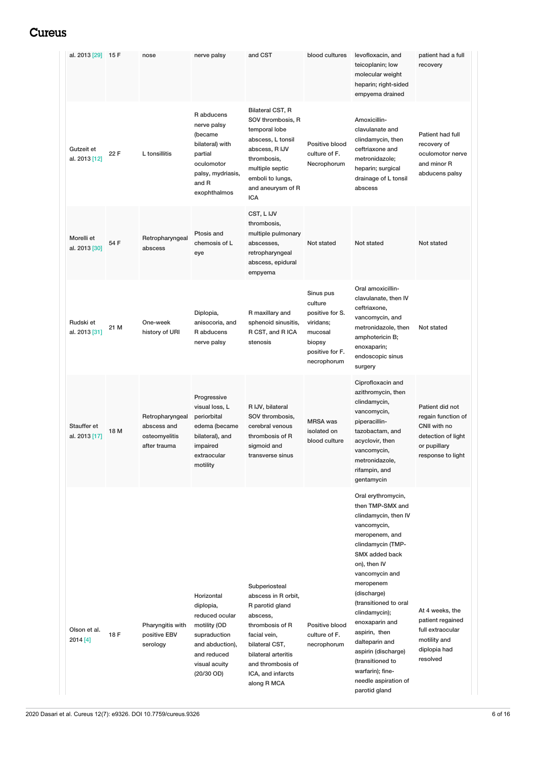<span id="page-5-0"></span>

| al. 2013 [29] 15 F           |      | nose                                                            | nerve palsy                                                                                                                                  | and CST                                                                                                                                                                                                  | blood cultures                                                                                              | levofloxacin, and<br>teicoplanin; low<br>molecular weight<br>heparin; right-sided<br>empyema drained                                                                                                                                                                                                                                                                                                        | patient had a full<br>recovery                                                                                   |
|------------------------------|------|-----------------------------------------------------------------|----------------------------------------------------------------------------------------------------------------------------------------------|----------------------------------------------------------------------------------------------------------------------------------------------------------------------------------------------------------|-------------------------------------------------------------------------------------------------------------|-------------------------------------------------------------------------------------------------------------------------------------------------------------------------------------------------------------------------------------------------------------------------------------------------------------------------------------------------------------------------------------------------------------|------------------------------------------------------------------------------------------------------------------|
| Gutzeit et<br>al. 2013 [12]  | 22 F | L tonsillitis                                                   | R abducens<br>nerve palsy<br>(became<br>bilateral) with<br>partial<br>oculomotor<br>palsy, mydriasis,<br>and R<br>exophthalmos               | Bilateral CST, R<br>SOV thrombosis, R<br>temporal lobe<br>abscess, L tonsil<br>abscess, R IJV<br>thrombosis,<br>multiple septic<br>emboli to lungs,<br>and aneurysm of R<br>ICA                          | Positive blood<br>culture of F.<br>Necrophorum                                                              | Amoxicillin-<br>clavulanate and<br>clindamycin, then<br>ceftriaxone and<br>metronidazole:<br>heparin; surgical<br>drainage of L tonsil<br>abscess                                                                                                                                                                                                                                                           | Patient had full<br>recovery of<br>oculomotor nerve<br>and minor R<br>abducens palsy                             |
| Morelli et<br>al. 2013 [30]  | 54 F | Retropharyngeal<br>abscess                                      | Ptosis and<br>chemosis of L<br>eye                                                                                                           | CST, L IJV<br>thrombosis,<br>multiple pulmonary<br>abscesses,<br>retropharyngeal<br>abscess, epidural<br>empyema                                                                                         | Not stated                                                                                                  | Not stated                                                                                                                                                                                                                                                                                                                                                                                                  | Not stated                                                                                                       |
| Rudski et<br>al. 2013 [31]   | 21 M | One-week<br>history of URI                                      | Diplopia,<br>anisocoria, and<br>R abducens<br>nerve palsy                                                                                    | R maxillary and<br>sphenoid sinusitis,<br>R CST, and R ICA<br>stenosis                                                                                                                                   | Sinus pus<br>culture<br>positive for S.<br>viridans;<br>mucosal<br>biopsy<br>positive for F.<br>necrophorum | Oral amoxicillin-<br>clavulanate, then IV<br>ceftriaxone,<br>vancomycin, and<br>metronidazole, then<br>amphotericin B;<br>enoxaparin;<br>endoscopic sinus<br>surgery                                                                                                                                                                                                                                        | Not stated                                                                                                       |
| Stauffer et<br>al. 2013 [17] | 18 M | Retropharyngeal<br>abscess and<br>osteomyelitis<br>after trauma | Progressive<br>visual loss, L<br>periorbital<br>edema (became<br>bilateral), and<br>impaired<br>extraocular<br>motility                      | R IJV, bilateral<br>SOV thrombosis,<br>cerebral venous<br>thrombosis of R<br>sigmoid and<br>transverse sinus                                                                                             | <b>MRSA</b> was<br>isolated on<br>blood culture                                                             | Ciprofloxacin and<br>azithromycin, then<br>clindamycin,<br>vancomycin,<br>piperacillin-<br>tazobactam, and<br>acyclovir, then<br>vancomycin,<br>metronidazole,<br>rifampin, and<br>gentamycin                                                                                                                                                                                                               | Patient did not<br>regain function of<br>CNII with no<br>detection of light<br>or pupillary<br>response to light |
| Olson et al.<br>2014 [4]     | 18 F | Pharyngitis with<br>positive EBV<br>serology                    | Horizontal<br>diplopia,<br>reduced ocular<br>motility (OD<br>supraduction<br>and abduction),<br>and reduced<br>visual acuity<br>$(20/30$ OD) | Subperiosteal<br>abscess in R orbit,<br>R parotid gland<br>abscess,<br>thrombosis of R<br>facial vein,<br>bilateral CST,<br>bilateral arteritis<br>and thrombosis of<br>ICA, and infarcts<br>along R MCA | Positive blood<br>culture of F.<br>necrophorum                                                              | Oral erythromycin,<br>then TMP-SMX and<br>clindamycin, then IV<br>vancomycin,<br>meropenem, and<br>clindamycin (TMP-<br>SMX added back<br>on), then IV<br>vancomycin and<br>meropenem<br>(discharge)<br>(transitioned to oral<br>clindamycin);<br>enoxaparin and<br>aspirin, then<br>dalteparin and<br>aspirin (discharge)<br>(transitioned to<br>warfarin); fine-<br>needle aspiration of<br>parotid gland | At 4 weeks, the<br>patient regained<br>full extraocular<br>motility and<br>diplopia had<br>resolved              |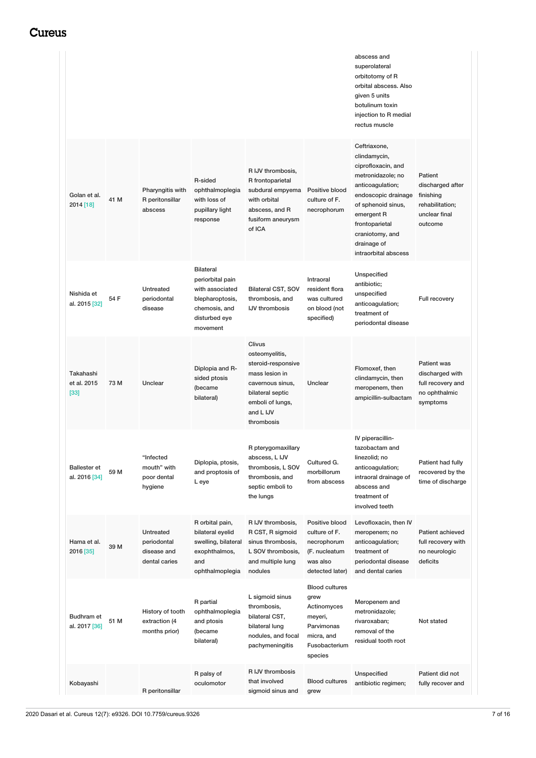|                                      |      |                                                                 |                                                                                                                          |                                                                                                                                                         |                                                                                                                 | abscess and<br>superolateral<br>orbitotomy of R<br>orbital abscess. Also<br>given 5 units<br>botulinum toxin<br>injection to R medial<br>rectus muscle                                                                             |                                                                                         |
|--------------------------------------|------|-----------------------------------------------------------------|--------------------------------------------------------------------------------------------------------------------------|---------------------------------------------------------------------------------------------------------------------------------------------------------|-----------------------------------------------------------------------------------------------------------------|------------------------------------------------------------------------------------------------------------------------------------------------------------------------------------------------------------------------------------|-----------------------------------------------------------------------------------------|
| Golan et al.<br>2014 [18]            | 41 M | Pharyngitis with<br>R peritonsillar<br>abscess                  | R-sided<br>ophthalmoplegia<br>with loss of<br>pupillary light<br>response                                                | R IJV thrombosis,<br>R frontoparietal<br>subdural empyema<br>with orbital<br>abscess, and R<br>fusiform aneurysm<br>of ICA                              | Positive blood<br>culture of F.<br>necrophorum                                                                  | Ceftriaxone,<br>clindamycin,<br>ciprofloxacin, and<br>metronidazole; no<br>anticoagulation;<br>endoscopic drainage<br>of sphenoid sinus,<br>emergent R<br>frontoparietal<br>craniotomy, and<br>drainage of<br>intraorbital abscess | Patient<br>discharged after<br>finishing<br>rehabilitation;<br>unclear final<br>outcome |
| Nishida et<br>al. 2015 [32]          | 54 F | Untreated<br>periodontal<br>disease                             | <b>Bilateral</b><br>periorbital pain<br>with associated<br>blepharoptosis,<br>chemosis, and<br>disturbed eye<br>movement | <b>Bilateral CST, SOV</b><br>thrombosis, and<br><b>IJV</b> thrombosis                                                                                   | Intraoral<br>resident flora<br>was cultured<br>on blood (not<br>specified)                                      | Unspecified<br>antibiotic;<br>unspecified<br>anticoagulation;<br>treatment of<br>periodontal disease                                                                                                                               | Full recovery                                                                           |
| Takahashi<br>et al. 2015<br>$[33]$   | 73 M | Unclear                                                         | Diplopia and R-<br>sided ptosis<br>(became<br>bilateral)                                                                 | Clivus<br>osteomyelitis,<br>steroid-responsive<br>mass lesion in<br>cavernous sinus,<br>bilateral septic<br>emboli of lungs,<br>and L IJV<br>thrombosis | Unclear                                                                                                         | Flomoxef, then<br>clindamycin, then<br>meropenem, then<br>ampicillin-sulbactam                                                                                                                                                     | <b>Patient was</b><br>discharged with<br>full recovery and<br>no ophthalmic<br>symptoms |
| <b>Ballester</b> et<br>al. 2016 [34] | 59 M | "Infected<br>mouth" with<br>poor dental<br>hygiene              | Diplopia, ptosis,<br>and proptosis of<br>L eye                                                                           | R pterygomaxillary<br>abscess, L IJV<br>thrombosis, L SOV<br>thrombosis, and<br>septic emboli to<br>the lungs                                           | Cultured G.<br>morbillorum<br>from abscess                                                                      | IV piperacillin-<br>tazobactam and<br>linezolid; no<br>anticoagulation;<br>intraoral drainage of<br>abscess and<br>treatment of<br>involved teeth                                                                                  | Patient had fully<br>recovered by the<br>time of discharge                              |
| Hama et al.<br>2016 [35]             | 39 M | <b>Untreated</b><br>periodontal<br>disease and<br>dental caries | R orbital pain,<br>bilateral eyelid<br>swelling, bilateral<br>exophthalmos,<br>and<br>ophthalmoplegia                    | R IJV thrombosis,<br>R CST, R sigmoid<br>sinus thrombosis,<br>L SOV thrombosis,<br>and multiple lung<br>nodules                                         | Positive blood<br>culture of F.<br>necrophorum<br>(F. nucleatum<br>was also<br>detected later)                  | Levofloxacin, then IV<br>meropenem; no<br>anticoagulation;<br>treatment of<br>periodontal disease<br>and dental caries                                                                                                             | Patient achieved<br>full recovery with<br>no neurologic<br>deficits                     |
| Budhram et<br>al. 2017 [36]          | 51 M | History of tooth<br>extraction (4<br>months prior)              | R partial<br>ophthalmoplegia<br>and ptosis<br>(became<br>bilateral)                                                      | L sigmoid sinus<br>thrombosis,<br>bilateral CST,<br>bilateral lung<br>nodules, and focal<br>pachymeningitis                                             | <b>Blood cultures</b><br>grew<br>Actinomyces<br>meyeri,<br>Parvimonas<br>micra, and<br>Fusobacterium<br>species | Meropenem and<br>metronidazole;<br>rivaroxaban;<br>removal of the<br>residual tooth root                                                                                                                                           | Not stated                                                                              |
| Kobayashi                            |      | R peritonsillar                                                 | R palsy of<br>oculomotor                                                                                                 | R IJV thrombosis<br>that involved<br>sigmoid sinus and                                                                                                  | <b>Blood cultures</b><br>grew                                                                                   | Unspecified<br>antibiotic regimen;                                                                                                                                                                                                 | Patient did not<br>fully recover and                                                    |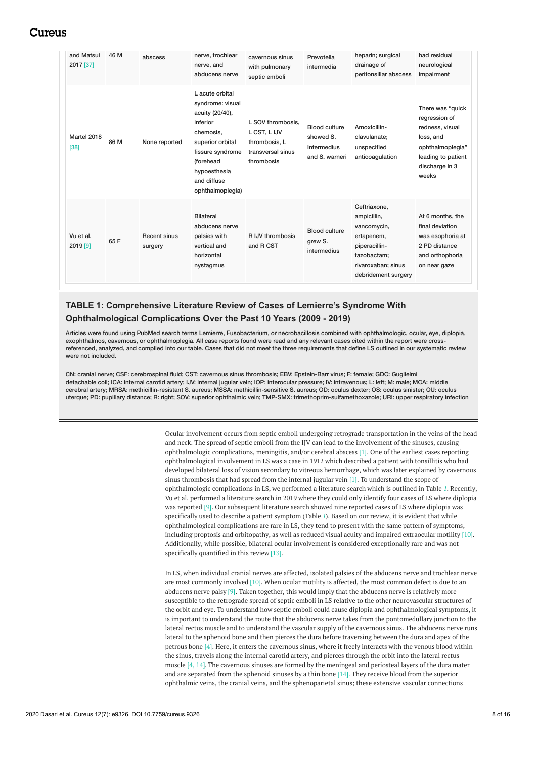| and Matsui<br>2017 [37] | 46 M | abscess                        | nerve, trochlear<br>nerve, and<br>abducens nerve                                                                                                                                        | cavernous sinus<br>with pulmonary<br>septic emboli                                    | Prevotella<br>intermedia                                           | heparin; surgical<br>drainage of<br>peritonsillar abscess                                                                             | had residual<br>neurological<br>impairment                                                                                             |
|-------------------------|------|--------------------------------|-----------------------------------------------------------------------------------------------------------------------------------------------------------------------------------------|---------------------------------------------------------------------------------------|--------------------------------------------------------------------|---------------------------------------------------------------------------------------------------------------------------------------|----------------------------------------------------------------------------------------------------------------------------------------|
| Martel 2018<br>$[38]$   | 86 M | None reported                  | L acute orbital<br>syndrome: visual<br>acuity (20/40),<br>inferior<br>chemosis.<br>superior orbital<br>fissure syndrome<br>(forehead<br>hypoesthesia<br>and diffuse<br>ophthalmoplegia) | L SOV thrombosis,<br>L CST, L IJV<br>thrombosis, L<br>transversal sinus<br>thrombosis | <b>Blood culture</b><br>showed S.<br>Intermedius<br>and S. warneri | Amoxicillin-<br>clavulanate;<br>unspecified<br>anticoagulation                                                                        | There was "quick<br>regression of<br>redness, visual<br>loss, and<br>ophthalmoplegia"<br>leading to patient<br>discharge in 3<br>weeks |
| Vu et al.<br>2019 [9]   | 65F  | <b>Recent sinus</b><br>surgery | <b>Bilateral</b><br>abducens nerve<br>palsies with<br>vertical and<br>horizontal<br>nystagmus                                                                                           | R IJV thrombosis<br>and R CST                                                         | <b>Blood culture</b><br>grew S.<br>intermedius                     | Ceftriaxone,<br>ampicillin,<br>vancomycin,<br>ertapenem,<br>piperacillin-<br>tazobactam;<br>rivaroxaban; sinus<br>debridement surgery | At 6 months, the<br>final deviation<br>was esophoria at<br>2 PD distance<br>and orthophoria<br>on near gaze                            |

### **TABLE 1: Comprehensive Literature Review of Cases of Lemierre's Syndrome With Ophthalmological Complications Over the Past 10 Years (2009 - 2019)**

Articles were found using PubMed search terms Lemierre, Fusobacterium, or necrobacillosis combined with ophthalmologic, ocular, eye, diplopia, exophthalmos, cavernous, or ophthalmoplegia. All case reports found were read and any relevant cases cited within the report were crossreferenced, analyzed, and compiled into our table. Cases that did not meet the three requirements that define LS outlined in our systematic review were not included.

CN: cranial nerve; CSF: cerebrospinal fluid; CST: cavernous sinus thrombosis; EBV: Epstein-Barr virus; F: female; GDC: Guglielmi detachable coil; ICA: internal carotid artery; IJV: internal jugular vein; IOP: interocular pressure; IV: intravenous; L: left; M: male; MCA: middle cerebral artery; MRSA: methicillin-resistant S. aureus; MSSA: methicillin-sensitive S. aureus; OD: oculus dexter; OS: oculus sinister; OU: oculus uterque; PD: pupillary distance; R: right; SOV: superior ophthalmic vein; TMP-SMX: trimethoprim-sulfamethoxazole; URI: upper respiratory infection

> Ocular involvement occurs from septic emboli undergoing retrograde transportation in the veins of the head and neck. The spread of septic emboli from the IJV can lead to the involvement of the sinuses, causing ophthalmologic complications, meningitis, and/or cerebral abscess [1]. One of the earliest cases reporting ophthalmological involvement in LS was a case in 1912 which described a patient with tonsillitis who had developed bilateral loss of vision secondary to vitreous hemorrhage, which was later explained by cavernous sinus thrombosis that had spread from the internal jugular vein [1]. To understand the scope of ophthalmologic complications in LS, we performed a literature search which is outlined in Table *[1](#page-5-0)*. Recently, Vu et al. performed a literature search in 2019 where they could only identify four cases of LS where diplopia was reported [9]. Our subsequent literature search showed nine reported cases of LS where diplopia was specifically used to describe a patient symptom (Table *[1](#page-5-0)*). Based on our review, it is evident that while ophthalmological complications are rare in LS, they tend to present with the same pattern of symptoms, including proptosis and orbitopathy, as well as reduced visual acuity and impaired extraocular motility [10]. Additionally, while possible, bilateral ocular involvement is considered exceptionally rare and was not specifically quantified in this review [13].

> In LS, when individual cranial nerves are affected, isolated palsies of the abducens nerve and trochlear nerve are most commonly involved [10]. When ocular motility is affected, the most common defect is due to an abducens nerve palsy [9]. Taken together, this would imply that the abducens nerve is relatively more susceptible to the retrograde spread of septic emboli in LS relative to the other neurovascular structures of the orbit and eye. To understand how septic emboli could cause diplopia and ophthalmological symptoms, it is important to understand the route that the abducens nerve takes from the pontomedullary junction to the lateral rectus muscle and to understand the vascular supply of the cavernous sinus. The abducens nerve runs lateral to the sphenoid bone and then pierces the dura before traversing between the dura and apex of the petrous bone [4]. Here, it enters the cavernous sinus, where it freely interacts with the venous blood within the sinus, travels along the internal carotid artery, and pierces through the orbit into the lateral rectus muscle  $[4, 14]$ . The cavernous sinuses are formed by the meningeal and periosteal layers of the dura mater and are separated from the sphenoid sinuses by a thin bone [14]. They receive blood from the superior ophthalmic veins, the cranial veins, and the sphenoparietal sinus; these extensive vascular connections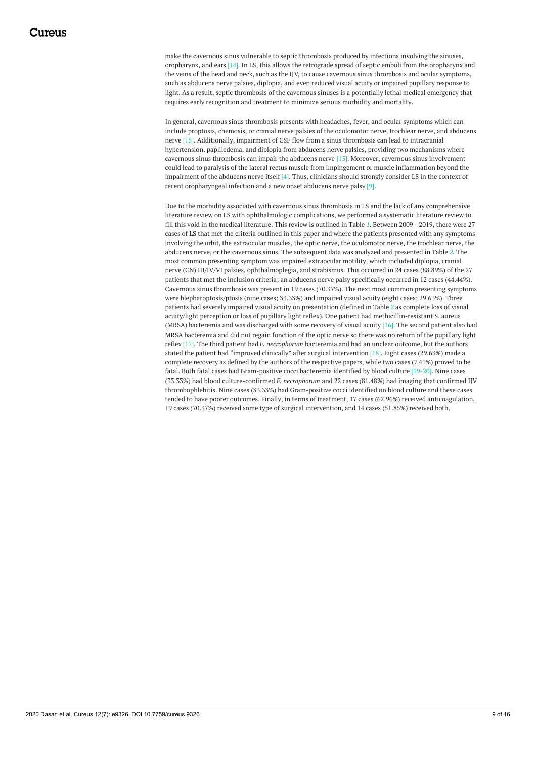make the cavernous sinus vulnerable to septic thrombosis produced by infections involving the sinuses, oropharynx, and ears [14]. In LS, this allows the retrograde spread of septic emboli from the oropharynx and the veins of the head and neck, such as the IJV, to cause cavernous sinus thrombosis and ocular symptoms, such as abducens nerve palsies, diplopia, and even reduced visual acuity or impaired pupillary response to light. As a result, septic thrombosis of the cavernous sinuses is a potentially lethal medical emergency that requires early recognition and treatment to minimize serious morbidity and mortality.

In general, cavernous sinus thrombosis presents with headaches, fever, and ocular symptoms which can include proptosis, chemosis, or cranial nerve palsies of the oculomotor nerve, trochlear nerve, and abducens nerve [15]. Additionally, impairment of CSF flow from a sinus thrombosis can lead to intracranial hypertension, papilledema, and diplopia from abducens nerve palsies, providing two mechanisms where cavernous sinus thrombosis can impair the abducens nerve [15]. Moreover, cavernous sinus involvement could lead to paralysis of the lateral rectus muscle from impingement or muscle inflammation beyond the impairment of the abducens nerve itself [4]. Thus, clinicians should strongly consider LS in the context of recent oropharyngeal infection and a new onset abducens nerve palsy [9].

Due to the morbidity associated with cavernous sinus thrombosis in LS and the lack of any comprehensive literature review on LS with ophthalmologic complications, we performed a systematic literature review to fill this void in the medical literature. This review is outlined in Table *[1](#page-5-0)*. Between 2009 - 2019, there were 27 cases of LS that met the criteria outlined in this paper and where the patients presented with any symptoms involving the orbit, the extraocular muscles, the optic nerve, the oculomotor nerve, the trochlear nerve, the abducens nerve, or the cavernous sinus. The subsequent data was analyzed and presented in Table *[2](#page-9-0)*. The most common presenting symptom was impaired extraocular motility, which included diplopia, cranial nerve (CN) III/IV/VI palsies, ophthalmoplegia, and strabismus. This occurred in 24 cases (88.89%) of the 27 patients that met the inclusion criteria; an abducens nerve palsy specifically occurred in 12 cases (44.44%). Cavernous sinus thrombosis was present in 19 cases (70.37%). The next most common presenting symptoms were blepharoptosis/ptosis (nine cases; 33.33%) and impaired visual acuity (eight cases; 29.63%). Three patients had severely impaired visual acuity on presentation (defined in Table *[2](#page-9-0)* as complete loss of visual acuity/light perception or loss of pupillary light reflex). One patient had methicillin-resistant S. aureus (MRSA) bacteremia and was discharged with some recovery of visual acuity [16]. The second patient also had MRSA bacteremia and did not regain function of the optic nerve so there was no return of the pupillary light reflex [17]. The third patient had *F. necrophorum* bacteremia and had an unclear outcome, but the authors stated the patient had "improved clinically" after surgical intervention [18]. Eight cases (29.63%) made a complete recovery as defined by the authors of the respective papers, while two cases (7.41%) proved to be fatal. Both fatal cases had Gram-positive cocci bacteremia identified by blood culture [19-20]. Nine cases (33.33%) had blood culture-confirmed *F. necrophorum* and 22 cases (81.48%) had imaging that confirmed IJV thrombophlebitis. Nine cases (33.33%) had Gram-positive cocci identified on blood culture and these cases tended to have poorer outcomes. Finally, in terms of treatment, 17 cases (62.96%) received anticoagulation, 19 cases (70.37%) received some type of surgical intervention, and 14 cases (51.85%) received both.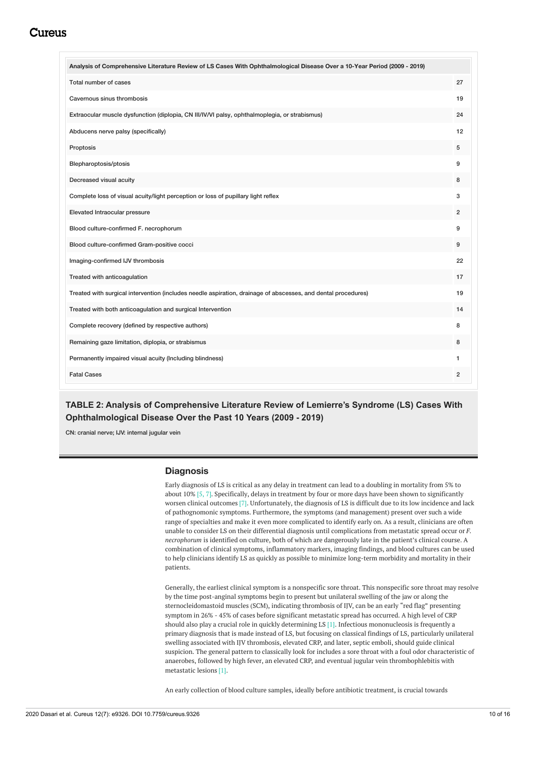<span id="page-9-0"></span>

| Analysis of Comprehensive Literature Review of LS Cases With Ophthalmological Disease Over a 10-Year Period (2009 - 2019) |                |
|---------------------------------------------------------------------------------------------------------------------------|----------------|
| Total number of cases                                                                                                     | 27             |
| Cavernous sinus thrombosis                                                                                                | 19             |
| Extraocular muscle dysfunction (diplopia, CN III/IV/VI palsy, ophthalmoplegia, or strabismus)                             | 24             |
| Abducens nerve palsy (specifically)                                                                                       | 12             |
| Proptosis                                                                                                                 | 5              |
| Blepharoptosis/ptosis                                                                                                     | 9              |
| Decreased visual acuity                                                                                                   | 8              |
| Complete loss of visual acuity/light perception or loss of pupillary light reflex                                         | 3              |
| Elevated Intraocular pressure                                                                                             | $\overline{2}$ |
| Blood culture-confirmed F. necrophorum                                                                                    | 9              |
| Blood culture-confirmed Gram-positive cocci                                                                               | 9              |
| Imaging-confirmed IJV thrombosis                                                                                          | 22             |
| Treated with anticoagulation                                                                                              | 17             |
| Treated with surgical intervention (includes needle aspiration, drainage of abscesses, and dental procedures)             | 19             |
| Treated with both anticoagulation and surgical Intervention                                                               | 14             |
| Complete recovery (defined by respective authors)                                                                         | 8              |
| Remaining gaze limitation, diplopia, or strabismus                                                                        | 8              |
| Permanently impaired visual acuity (Including blindness)                                                                  | 1              |
| <b>Fatal Cases</b>                                                                                                        | $\overline{2}$ |

### **TABLE 2: Analysis of Comprehensive Literature Review of Lemierre's Syndrome (LS) Cases With Ophthalmological Disease Over the Past 10 Years (2009 - 2019)**

CN: cranial nerve; IJV: internal jugular vein

### **Diagnosis**

Early diagnosis of LS is critical as any delay in treatment can lead to a doubling in mortality from 5% to about 10% [5, 7]. Specifically, delays in treatment by four or more days have been shown to significantly worsen clinical outcomes [7]. Unfortunately, the diagnosis of LS is difficult due to its low incidence and lack of pathognomonic symptoms. Furthermore, the symptoms (and management) present over such a wide range of specialties and make it even more complicated to identify early on. As a result, clinicians are often unable to consider LS on their differential diagnosis until complications from metastatic spread occur or *F. necrophorum* is identified on culture, both of which are dangerously late in the patient's clinical course. A combination of clinical symptoms, inflammatory markers, imaging findings, and blood cultures can be used to help clinicians identify LS as quickly as possible to minimize long-term morbidity and mortality in their patients.

Generally, the earliest clinical symptom is a nonspecific sore throat. This nonspecific sore throat may resolve by the time post-anginal symptoms begin to present but unilateral swelling of the jaw or along the sternocleidomastoid muscles (SCM), indicating thrombosis of IJV, can be an early "red flag" presenting symptom in 26% - 45% of cases before significant metastatic spread has occurred. A high level of CRP should also play a crucial role in quickly determining LS [1]. Infectious mononucleosis is frequently a primary diagnosis that is made instead of LS, but focusing on classical findings of LS, particularly unilateral swelling associated with IJV thrombosis, elevated CRP, and later, septic emboli, should guide clinical suspicion. The general pattern to classically look for includes a sore throat with a foul odor characteristic of anaerobes, followed by high fever, an elevated CRP, and eventual jugular vein thrombophlebitis with metastatic lesions [1].

An early collection of blood culture samples, ideally before antibiotic treatment, is crucial towards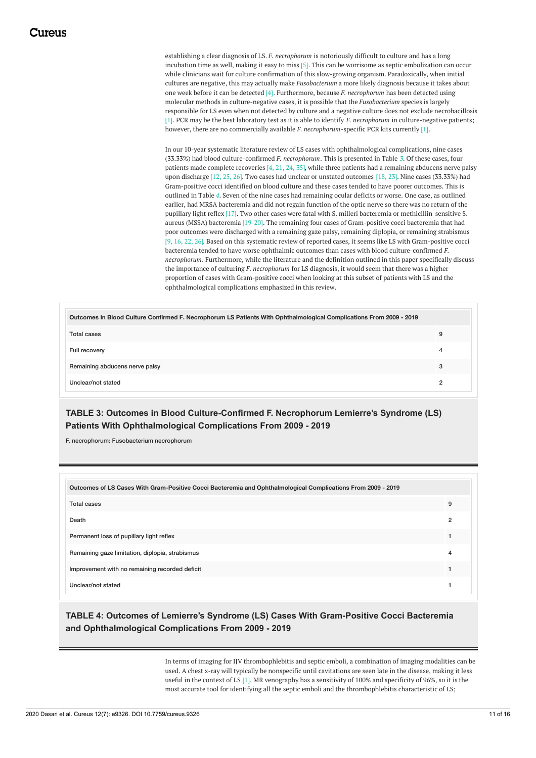establishing a clear diagnosis of LS. *F. necrophorum* is notoriously difficult to culture and has a long incubation time as well, making it easy to miss [5]. This can be worrisome as septic embolization can occur while clinicians wait for culture confirmation of this slow-growing organism. Paradoxically, when initial cultures are negative, this may actually make *Fusobacterium* a more likely diagnosis because it takes about one week before it can be detected [4]. Furthermore, because *F. necrophorum* has been detected using molecular methods in culture-negative cases, it is possible that the *Fusobacterium* species is largely responsible for LS even when not detected by culture and a negative culture does not exclude necrobacillosis [1]. PCR may be the best laboratory test as it is able to identify *F. necrophorum* in culture-negative patients; however, there are no commercially available *F. necrophorum*-specific PCR kits currently [1].

In our 10-year systematic literature review of LS cases with ophthalmological complications, nine cases (33.33%) had blood culture-confirmed *F. necrophorum*. This is presented in Table *[3](#page-10-0)*. Of these cases, four patients made complete recoveries [4, 21, 24, 35], while three patients had a remaining abducens nerve palsy upon discharge [12, 25, 26]. Two cases had unclear or unstated outcomes [18, 23]. Nine cases (33.33%) had Gram-positive cocci identified on blood culture and these cases tended to have poorer outcomes. This is outlined in Table *[4](#page-10-1)*. Seven of the nine cases had remaining ocular deficits or worse. One case, as outlined earlier, had MRSA bacteremia and did not regain function of the optic nerve so there was no return of the pupillary light reflex [17]. Two other cases were fatal with S. milleri bacteremia or methicillin-sensitive S. aureus (MSSA) bacteremia [19-20]. The remaining four cases of Gram-positive cocci bacteremia that had poor outcomes were discharged with a remaining gaze palsy, remaining diplopia, or remaining strabismus [9, 16, 22, 26]. Based on this systematic review of reported cases, it seems like LS with Gram-positive cocci bacteremia tended to have worse ophthalmic outcomes than cases with blood culture-confirmed *F. necrophorum*. Furthermore, while the literature and the definition outlined in this paper specifically discuss the importance of culturing *F. necrophorum* for LS diagnosis, it would seem that there was a higher proportion of cases with Gram-positive cocci when looking at this subset of patients with LS and the ophthalmological complications emphasized in this review.

<span id="page-10-0"></span>

| Outcomes In Blood Culture Confirmed F. Necrophorum LS Patients With Ophthalmological Complications From 2009 - 2019 |   |
|---------------------------------------------------------------------------------------------------------------------|---|
| <b>Total cases</b>                                                                                                  | 9 |
| Full recovery                                                                                                       | 4 |
| Remaining abducens nerve palsy                                                                                      | 3 |
| Unclear/not stated                                                                                                  | ົ |

# **TABLE 3: Outcomes in Blood Culture-Confirmed F. Necrophorum Lemierre's Syndrome (LS) Patients With Ophthalmological Complications From 2009 - 2019**

F. necrophorum: Fusobacterium necrophorum

<span id="page-10-1"></span>

| Outcomes of LS Cases With Gram-Positive Cocci Bacteremia and Ophthalmological Complications From 2009 - 2019 |                |
|--------------------------------------------------------------------------------------------------------------|----------------|
| Total cases                                                                                                  | 9              |
| Death                                                                                                        | $\overline{2}$ |
| Permanent loss of pupillary light reflex                                                                     |                |
| Remaining gaze limitation, diplopia, strabismus                                                              | 4              |
| Improvement with no remaining recorded deficit                                                               |                |
| Unclear/not stated                                                                                           |                |

### **TABLE 4: Outcomes of Lemierre's Syndrome (LS) Cases With Gram-Positive Cocci Bacteremia and Ophthalmological Complications From 2009 - 2019**

In terms of imaging for IJV thrombophlebitis and septic emboli, a combination of imaging modalities can be used. A chest x-ray will typically be nonspecific until cavitations are seen late in the disease, making it less useful in the context of LS [1]. MR venography has a sensitivity of 100% and specificity of 96%, so it is the most accurate tool for identifying all the septic emboli and the thrombophlebitis characteristic of LS;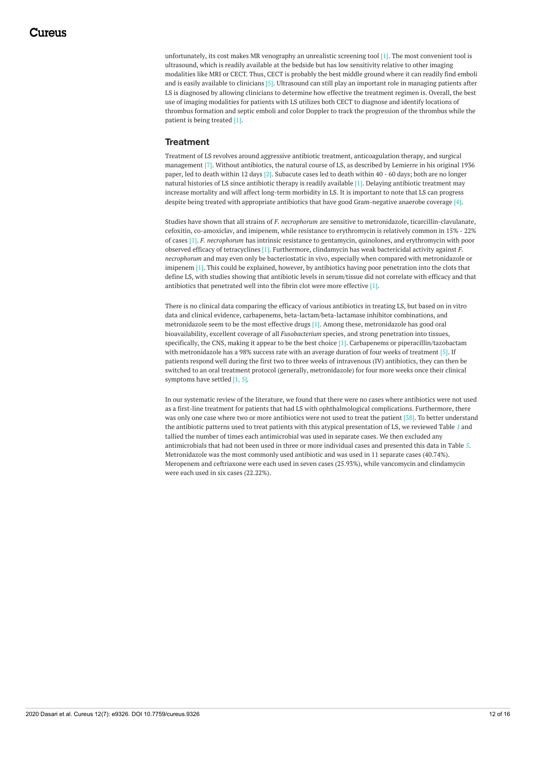unfortunately, its cost makes MR venography an unrealistic screening tool [1]. The most convenient tool is ultrasound, which is readily available at the bedside but has low sensitivity relative to other imaging modalities like MRI or CECT. Thus, CECT is probably the best middle ground where it can readily find emboli and is easily available to clinicians [5]. Ultrasound can still play an important role in managing patients after LS is diagnosed by allowing clinicians to determine how effective the treatment regimen is. Overall, the best use of imaging modalities for patients with LS utilizes both CECT to diagnose and identify locations of thrombus formation and septic emboli and color Doppler to track the progression of the thrombus while the patient is being treated [1].

#### **Treatment**

Treatment of LS revolves around aggressive antibiotic treatment, anticoagulation therapy, and surgical management [7]. Without antibiotics, the natural course of LS, as described by Lemierre in his original 1936. paper, led to death within 12 days [2]. Subacute cases led to death within 40 - 60 days; both are no longer natural histories of LS since antibiotic therapy is readily available [1]. Delaying antibiotic treatment may increase mortality and will affect long-term morbidity in LS. It is important to note that LS can progress despite being treated with appropriate antibiotics that have good Gram-negative anaerobe coverage [4].

Studies have shown that all strains of *F. necrophorum* are sensitive to metronidazole, ticarcillin-clavulanate, cefoxitin, co-amoxiclav, and imipenem, while resistance to erythromycin is relatively common in 15% - 22% of cases [1]. *F. necrophorum* has intrinsic resistance to gentamycin, quinolones, and erythromycin with poor observed efficacy of tetracyclines [1]. Furthermore, clindamycin has weak bactericidal activity against *F. necrophorum* and may even only be bacteriostatic in vivo, especially when compared with metronidazole or imipenem [1]. This could be explained, however, by antibiotics having poor penetration into the clots that define LS, with studies showing that antibiotic levels in serum/tissue did not correlate with efficacy and that antibiotics that penetrated well into the fibrin clot were more effective [1].

There is no clinical data comparing the efficacy of various antibiotics in treating LS, but based on in vitro data and clinical evidence, carbapenems, beta-lactam/beta-lactamase inhibitor combinations, and metronidazole seem to be the most effective drugs [1]. Among these, metronidazole has good oral bioavailability, excellent coverage of all *Fusobacterium* species, and strong penetration into tissues, specifically, the CNS, making it appear to be the best choice [1]. Carbapenems or piperacillin/tazobactam with metronidazole has a 98% success rate with an average duration of four weeks of treatment [5]. If patients respond well during the first two to three weeks of intravenous (IV) antibiotics, they can then be switched to an oral treatment protocol (generally, metronidazole) for four more weeks once their clinical symptoms have settled [1, 5].

In our systematic review of the literature, we found that there were no cases where antibiotics were not used as a first-line treatment for patients that had LS with ophthalmological complications. Furthermore, there was only one case where two or more antibiotics were not used to treat the patient [38]. To better understand the antibiotic patterns used to treat patients with this atypical presentation of LS, we reviewed Table *[1](#page-5-0)* and tallied the number of times each antimicrobial was used in separate cases. We then excluded any antimicrobials that had not been used in three or more individual cases and presented this data in Table *[5](#page-12-0)*. Metronidazole was the most commonly used antibiotic and was used in 11 separate cases (40.74%). Meropenem and ceftriaxone were each used in seven cases (25.93%), while vancomycin and clindamycin were each used in six cases (22.22%).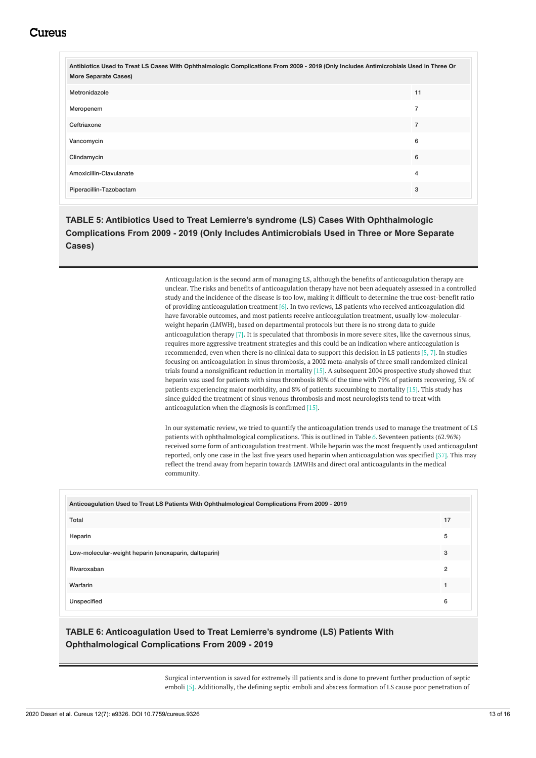<span id="page-12-0"></span>

| Antibiotics Used to Treat LS Cases With Ophthalmologic Complications From 2009 - 2019 (Only Includes Antimicrobials Used in Three Or<br><b>More Separate Cases)</b> |                |
|---------------------------------------------------------------------------------------------------------------------------------------------------------------------|----------------|
| Metronidazole                                                                                                                                                       | 11             |
| Meropenem                                                                                                                                                           | $\overline{7}$ |
| Ceftriaxone                                                                                                                                                         | 7              |
| Vancomycin                                                                                                                                                          | 6              |
| Clindamycin                                                                                                                                                         | 6              |
| Amoxicillin-Clavulanate                                                                                                                                             | 4              |
| Piperacillin-Tazobactam                                                                                                                                             | 3              |

**TABLE 5: Antibiotics Used to Treat Lemierre's syndrome (LS) Cases With Ophthalmologic Complications From 2009 - 2019 (Only Includes Antimicrobials Used in Three or More Separate Cases)**

> Anticoagulation is the second arm of managing LS, although the benefits of anticoagulation therapy are unclear. The risks and benefits of anticoagulation therapy have not been adequately assessed in a controlled study and the incidence of the disease is too low, making it difficult to determine the true cost-benefit ratio of providing anticoagulation treatment [6]. In two reviews, LS patients who received anticoagulation did have favorable outcomes, and most patients receive anticoagulation treatment, usually low-molecularweight heparin (LMWH), based on departmental protocols but there is no strong data to guide anticoagulation therapy [7]. It is speculated that thrombosis in more severe sites, like the cavernous sinus, requires more aggressive treatment strategies and this could be an indication where anticoagulation is recommended, even when there is no clinical data to support this decision in LS patients [5, 7]. In studies focusing on anticoagulation in sinus thrombosis, a 2002 meta-analysis of three small randomized clinical trials found a nonsignificant reduction in mortality [15]. A subsequent 2004 prospective study showed that heparin was used for patients with sinus thrombosis 80% of the time with 79% of patients recovering, 5% of patients experiencing major morbidity, and 8% of patients succumbing to mortality [15]. This study has since guided the treatment of sinus venous thrombosis and most neurologists tend to treat with anticoagulation when the diagnosis is confirmed [15].

> In our systematic review, we tried to quantify the anticoagulation trends used to manage the treatment of LS patients with ophthalmological complications. This is outlined in Table *[6](#page-12-1)*. Seventeen patients (62.96%) received some form of anticoagulation treatment. While heparin was the most frequently used anticoagulant reported, only one case in the last five years used heparin when anticoagulation was specified [37]. This may reflect the trend away from heparin towards LMWHs and direct oral anticoagulants in the medical community.

<span id="page-12-1"></span>

| Anticoagulation Used to Treat LS Patients With Ophthalmological Complications From 2009 - 2019 |    |
|------------------------------------------------------------------------------------------------|----|
| Total                                                                                          | 17 |
| Heparin                                                                                        | 5  |
| Low-molecular-weight heparin (enoxaparin, dalteparin)                                          | 3  |
| Rivaroxaban                                                                                    | 2  |
| Warfarin                                                                                       |    |
| Unspecified                                                                                    | 6  |

### **TABLE 6: Anticoagulation Used to Treat Lemierre's syndrome (LS) Patients With Ophthalmological Complications From 2009 - 2019**

Surgical intervention is saved for extremely ill patients and is done to prevent further production of septic emboli [5]. Additionally, the defining septic emboli and abscess formation of LS cause poor penetration of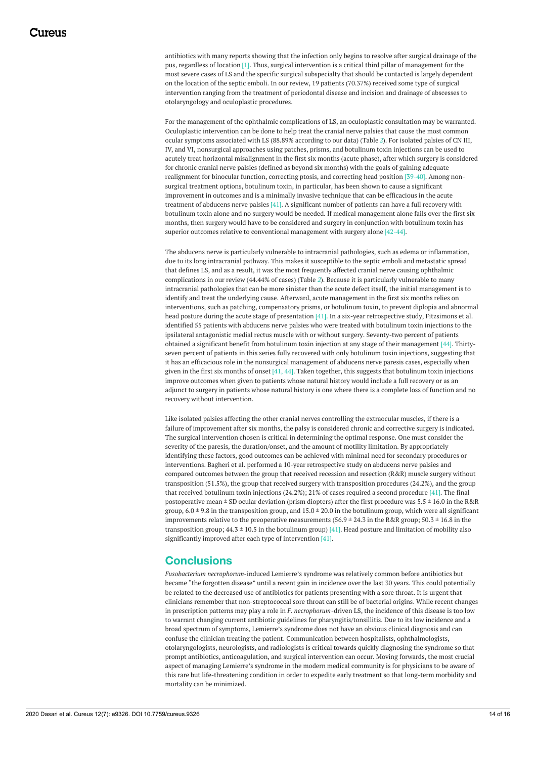antibiotics with many reports showing that the infection only begins to resolve after surgical drainage of the pus, regardless of location [1]. Thus, surgical intervention is a critical third pillar of management for the most severe cases of LS and the specific surgical subspecialty that should be contacted is largely dependent on the location of the septic emboli. In our review, 19 patients (70.37%) received some type of surgical intervention ranging from the treatment of periodontal disease and incision and drainage of abscesses to otolaryngology and oculoplastic procedures.

For the management of the ophthalmic complications of LS, an oculoplastic consultation may be warranted. Oculoplastic intervention can be done to help treat the cranial nerve palsies that cause the most common ocular symptoms associated with LS (88.89% according to our data) (Table *[2](#page-9-0)*). For isolated palsies of CN III, IV, and VI, nonsurgical approaches using patches, prisms, and botulinum toxin injections can be used to acutely treat horizontal misalignment in the first six months (acute phase), after which surgery is considered for chronic cranial nerve palsies (defined as beyond six months) with the goals of gaining adequate realignment for binocular function, correcting ptosis, and correcting head position [39-40]. Among nonsurgical treatment options, botulinum toxin, in particular, has been shown to cause a significant improvement in outcomes and is a minimally invasive technique that can be efficacious in the acute treatment of abducens nerve palsies [41]. A significant number of patients can have a full recovery with botulinum toxin alone and no surgery would be needed. If medical management alone fails over the first six months, then surgery would have to be considered and surgery in conjunction with botulinum toxin has superior outcomes relative to conventional management with surgery alone [42-44].

The abducens nerve is particularly vulnerable to intracranial pathologies, such as edema or inflammation, due to its long intracranial pathway. This makes it susceptible to the septic emboli and metastatic spread that defines LS, and as a result, it was the most frequently affected cranial nerve causing ophthalmic complications in our review (44.44% of cases) (Table *[2](#page-9-0)*). Because it is particularly vulnerable to many intracranial pathologies that can be more sinister than the acute defect itself, the initial management is to identify and treat the underlying cause. Afterward, acute management in the first six months relies on interventions, such as patching, compensatory prisms, or botulinum toxin, to prevent diplopia and abnormal head posture during the acute stage of presentation [41]. In a six-year retrospective study, Fitzsimons et al. identified 55 patients with abducens nerve palsies who were treated with botulinum toxin injections to the ipsilateral antagonistic medial rectus muscle with or without surgery. Seventy-two percent of patients obtained a significant benefit from botulinum toxin injection at any stage of their management [44]. Thirtyseven percent of patients in this series fully recovered with only botulinum toxin injections, suggesting that it has an efficacious role in the nonsurgical management of abducens nerve paresis cases, especially when given in the first six months of onset  $[41, 44]$ . Taken together, this suggests that botulinum toxin injections improve outcomes when given to patients whose natural history would include a full recovery or as an adjunct to surgery in patients whose natural history is one where there is a complete loss of function and no recovery without intervention.

Like isolated palsies affecting the other cranial nerves controlling the extraocular muscles, if there is a failure of improvement after six months, the palsy is considered chronic and corrective surgery is indicated. The surgical intervention chosen is critical in determining the optimal response. One must consider the severity of the paresis, the duration/onset, and the amount of motility limitation. By appropriately identifying these factors, good outcomes can be achieved with minimal need for secondary procedures or interventions. Bagheri et al. performed a 10-year retrospective study on abducens nerve palsies and compared outcomes between the group that received recession and resection (R&R) muscle surgery without transposition (51.5%), the group that received surgery with transposition procedures (24.2%), and the group that received botulinum toxin injections (24.2%); 21% of cases required a second procedure [41]. The final postoperative mean  $\pm$  SD ocular deviation (prism diopters) after the first procedure was 5.5  $\pm$  16.0 in the R&R group,  $6.0 \pm 9.8$  in the transposition group, and  $15.0 \pm 20.0$  in the botulinum group, which were all significant improvements relative to the preoperative measurements (56.9  $\pm$  24.3 in the R&R group; 50.3  $\pm$  16.8 in the transposition group;  $44.3 \pm 10.5$  in the botulinum group) [41]. Head posture and limitation of mobility also significantly improved after each type of intervention [41].

### **Conclusions**

*Fusobacterium necrophorum*-induced Lemierre's syndrome was relatively common before antibiotics but became "the forgotten disease" until a recent gain in incidence over the last 30 years. This could potentially be related to the decreased use of antibiotics for patients presenting with a sore throat. It is urgent that clinicians remember that non-streptococcal sore throat can still be of bacterial origins. While recent changes in prescription patterns may play a role in *F. necrophorum*-driven LS, the incidence of this disease is too low to warrant changing current antibiotic guidelines for pharyngitis/tonsillitis. Due to its low incidence and a broad spectrum of symptoms, Lemierre's syndrome does not have an obvious clinical diagnosis and can confuse the clinician treating the patient. Communication between hospitalists, ophthalmologists, otolaryngologists, neurologists, and radiologists is critical towards quickly diagnosing the syndrome so that prompt antibiotics, anticoagulation, and surgical intervention can occur. Moving forwards, the most crucial aspect of managing Lemierre's syndrome in the modern medical community is for physicians to be aware of this rare but life-threatening condition in order to expedite early treatment so that long-term morbidity and mortality can be minimized.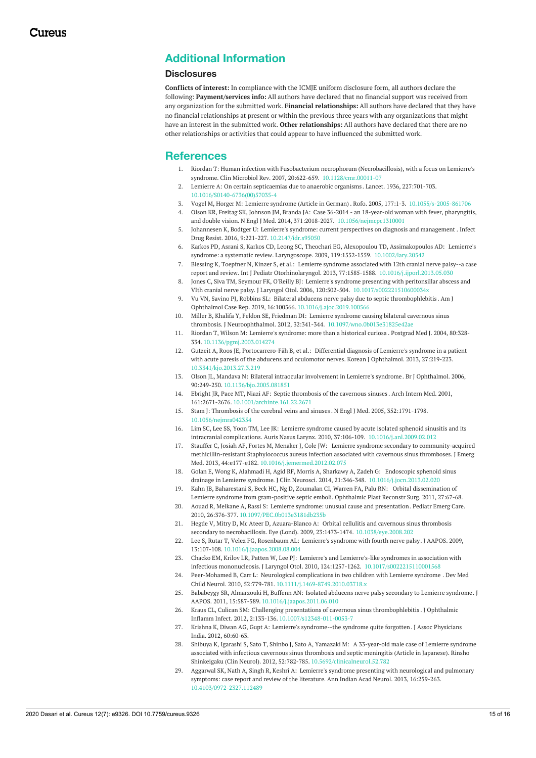# **Additional Information**

#### **Disclosures**

**Conflicts of interest:** In compliance with the ICMJE uniform disclosure form, all authors declare the following: **Payment/services info:** All authors have declared that no financial support was received from any organization for the submitted work. **Financial relationships:** All authors have declared that they have no financial relationships at present or within the previous three years with any organizations that might have an interest in the submitted work. **Other relationships:** All authors have declared that there are no other relationships or activities that could appear to have influenced the submitted work.

### **References**

- 1. Riordan T: Human infection with Fusobacterium necrophorum (Necrobacillosis), with a focus on Lemierre's syndrome. Clin Microbiol Rev. 2007, 20:622-659. [10.1128/cmr.00011-07](https://dx.doi.org/10.1128/cmr.00011-07)
- 2. Lemierre A: On certain [septicaemias](https://dx.doi.org/10.1016/S0140-6736(00)57035-4) due to anaerobic organisms . Lancet. 1936, 227:701-703. [10.1016/S0140-6736\(00\)57035-4](https://dx.doi.org/10.1016/S0140-6736(00)57035-4)
- 3. Vogel M, Horger M: Lemierre [syndrome](https://dx.doi.org/10.1055/s-2005-861706) (Article in German) . Rofo. 2005, 177:1-3. [10.1055/s-2005-861706](https://dx.doi.org/10.1055/s-2005-861706)
- 4. Olson KR, Freitag SK, Johnson JM, Branda JA: Case 36-2014 an 18-year-old woman with fever, pharyngitis, and double vision. N Engl J Med. 2014, 371:2018-2027. [10.1056/nejmcpc1310001](https://dx.doi.org/10.1056/nejmcpc1310001)
- 5. Johannesen K, Bodtger U: Lemierre's syndrome: current perspectives on diagnosis and [management](https://dx.doi.org/10.2147/idr.s95050) . Infect Drug Resist. 2016, 9:221-227. [10.2147/idr.s95050](https://dx.doi.org/10.2147/idr.s95050)
- 6. Karkos PD, Asrani S, Karkos CD, Leong SC, Theochari EG, Alexopoulou TD, Assimakopoulos AD: Lemierre's syndrome: a systematic review. Laryngoscope. 2009, 119:1552-1559. [10.1002/lary.20542](https://dx.doi.org/10.1002/lary.20542)
- 7. Blessing K, Toepfner N, Kinzer S, et al.: Lemierre syndrome associated with 12th cranial nerve palsy--a case report and review. Int J Pediatr Otorhinolaryngol. 2013, 77:1585-1588. 10.1016/j.ijporl.2013.0.
- 8. Jones C, Siva TM, Seymour FK, O'Reilly BJ: Lemierre's syndrome presenting with peritonsillar abscess and VIth cranial nerve palsy. J Laryngol Otol. 2006, 120:502-504. [10.1017/s002221510600034x](https://dx.doi.org/10.1017/s002221510600034x)
- 9. Vu VN, Savino PJ, Robbins SL: Bilateral abducens nerve palsy due to septic [thrombophlebitis](https://dx.doi.org/10.1016/j.ajoc.2019.100566) . Am J Ophthalmol Case Rep. 2019, 16:100566. [10.1016/j.ajoc.2019.100566](https://dx.doi.org/10.1016/j.ajoc.2019.100566)
- 10. Miller B, Khalifa Y, Feldon SE, Friedman DI: Lemierre syndrome causing bilateral cavernous sinus thrombosis. J Neuroophthalmol. 2012, 32:341-344. [10.1097/wno.0b013e31825e42ae](https://dx.doi.org/10.1097/wno.0b013e31825e42ae)
- 11. Riordan T, Wilson M: Lemierre's [syndrome:](https://dx.doi.org/10.1136/pgmj.2003.014274) more than a historical curiosa . Postgrad Med J. 2004, 80:328- 334. [10.1136/pgmj.2003.014274](https://dx.doi.org/10.1136/pgmj.2003.014274)
- 12. Gutzeit A, Roos JE, [Portocarrero-Fäh](https://dx.doi.org/10.3341/kjo.2013.27.3.219) B, et al.: Differential diagnosis of Lemierre's syndrome in a patient with acute paresis of the abducens and oculomotor nerves. Korean J Ophthalmol. 2013, 27:219-223. [10.3341/kjo.2013.27.3.219](https://dx.doi.org/10.3341/kjo.2013.27.3.219)
- 13. Olson JL, Mandava N: Bilateral intraocular [involvement](https://dx.doi.org/10.1136/bjo.2005.081851) in Lemierre's syndrome. Br J Ophthalmol. 2006, 90:249-250. [10.1136/bjo.2005.081851](https://dx.doi.org/10.1136/bjo.2005.081851)
- 14. Ebright JR, Pace MT, Niazi AF: Septic [thrombosis](https://dx.doi.org/10.1001/archinte.161.22.2671) of the cavernous sinuses . Arch Intern Med. 2001, 161:2671-2676. [10.1001/archinte.161.22.2671](https://dx.doi.org/10.1001/archinte.161.22.2671)
- 15. Stam J: [Thrombosis](https://dx.doi.org/10.1056/nejmra042354) of the cerebral veins and sinuses . N Engl J Med. 2005, 352:1791-1798. [10.1056/nejmra042354](https://dx.doi.org/10.1056/nejmra042354)
- 16. Lim SC, Lee SS, Yoon TM, Lee JK: Lemierre syndrome caused by acute isolated sphenoid sinusitis and its intracranial complications. Auris Nasus Larynx. 2010, 37:106-109. [10.1016/j.anl.2009.02.012](https://dx.doi.org/10.1016/j.anl.2009.02.012)
- 17. Stauffer C, Josiah AF, Fortes M, Menaker J, Cole JW: Lemierre syndrome secondary to [community-acquired](https://dx.doi.org/10.1016/j.jemermed.2012.02.075) methicillin-resistant Staphylococcus aureus infection associated with cavernous sinus thromboses. J Emerg Med. 2013, 44:e177-e182. [10.1016/j.jemermed.2012.02.075](https://dx.doi.org/10.1016/j.jemermed.2012.02.075)
- 18. Golan E, Wong K, Alahmadi H, Agid RF, Morris A, Sharkawy A, Zadeh G: Endoscopic sphenoid sinus drainage in Lemierre syndrome. J Clin Neurosci. 2014, 21:346-348. [10.1016/j.jocn.2013.02.020](https://dx.doi.org/10.1016/j.jocn.2013.02.020)
- 19. Kahn JB, Baharestani S, Beck HC, Ng D, Zoumalan CI, Warren FA, Palu RN: Orbital [dissemination](https://journals.lww.com/op-rs/Abstract/2011/05000/Orbital_Dissemination_of_Lemierre_Syndrome_From.34.aspx) of Lemierre syndrome from gram-positive septic emboli. Ophthalmic Plast Reconstr Surg. 2011, 27:67-68.
- 20. Aouad R, Melkane A, Rassi S: Lemierre syndrome: unusual cause and [presentation](https://dx.doi.org/10.1097/PEC.0b013e3181db235b). Pediatr Emerg Care. 2010, 26:376-377. [10.1097/PEC.0b013e3181db235b](https://dx.doi.org/10.1097/PEC.0b013e3181db235b)
- 21. Hegde V, Mitry D, Mc Ateer D, Azuara-Blanco A: Orbital cellulitis and cavernous sinus thrombosis secondary to necrobacillosis. Eye (Lond). 2009, 23:1473-1474. [10.1038/eye.2008.202](https://dx.doi.org/10.1038/eye.2008.202)
- 22. Lee S, Rutar T, Velez FG, Rosenbaum AL: [Lemierre's](https://dx.doi.org/10.1016/j.jaapos.2008.08.004) syndrome with fourth nerve palsy. J AAPOS. 2009, 13:107-108. [10.1016/j.jaapos.2008.08.004](https://dx.doi.org/10.1016/j.jaapos.2008.08.004)
- 23. Chacko EM, Krilov LR, Patten W, Lee PJ: Lemierre's and Lemierre's-like syndromes in association with infectious mononucleosis. J Laryngol Otol. 2010, 124:1257-1262. [10.1017/s0022215110001568](https://dx.doi.org/10.1017/s0022215110001568)
- 24. Peer-Mohamed B, Carr L: Neurological [complications](https://dx.doi.org/10.1111/j.1469-8749.2010.03718.x) in two children with Lemierre syndrome . Dev Med Child Neurol. 2010, 52:779-781. [10.1111/j.1469-8749.2010.03718.x](https://dx.doi.org/10.1111/j.1469-8749.2010.03718.x)
- 25. Bababeygy SR, Almarzouki H, Buffenn AN: Isolated abducens nerve palsy [secondary](https://dx.doi.org/10.1016/j.jaapos.2011.06.010) to Lemierre syndrome. J AAPOS. 2011, 15:587-589. [10.1016/j.jaapos.2011.06.010](https://dx.doi.org/10.1016/j.jaapos.2011.06.010)
- 26. Kraus CL, Culican SM: Challenging presentations of cavernous sinus [thrombophlebitis](https://dx.doi.org/10.1007/s12348-011-0053-7) . J Ophthalmic Inflamm Infect. 2012, 2:133-136. [10.1007/s12348-011-0053-7](https://dx.doi.org/10.1007/s12348-011-0053-7)
- 27. Krishna K, Diwan AG, Gupt A: Lemierre's [syndrome--the](https://www.researchgate.net/publication/229154310_Lemierre) syndrome quite forgotten. J Assoc Physicians India. 2012, 60:60-63.
- 28. Shibuya K, Igarashi S, Sato T, Shinbo J, Sato A, Yamazaki M: A [33-year-old](https://dx.doi.org/10.5692/clinicalneurol.52.782) male case of Lemierre syndrome associated with infectious cavernous sinus thrombosis and septic meningitis (Article in Japanese). Rinsho Shinkeigaku (Clin Neurol). 2012, 52:782-785. [10.5692/clinicalneurol.52.782](https://dx.doi.org/10.5692/clinicalneurol.52.782)
- 29. Aggarwal SK, Nath A, Singh R, Keshri A: Lemierre's syndrome presenting with [neurological](https://dx.doi.org/10.4103/0972-2327.112489) and pulmonary symptoms: case report and review of the literature. Ann Indian Acad Neurol. 2013, 16:259-263. [10.4103/0972-2327.112489](https://dx.doi.org/10.4103/0972-2327.112489)